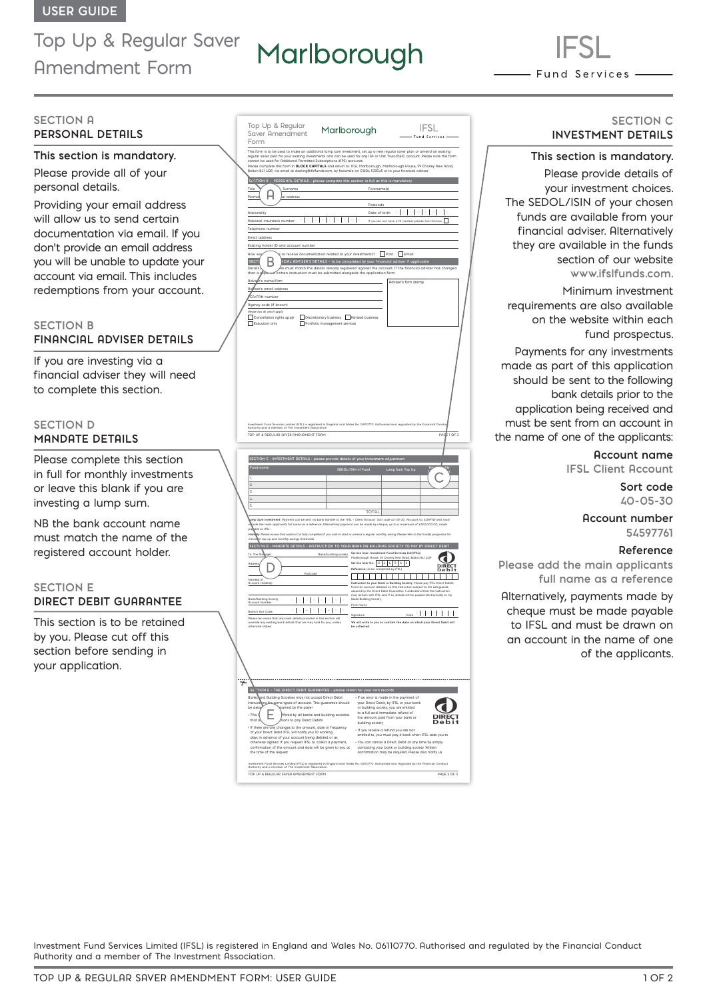# Top Up & Regular Saver Amendment Form

# Marlborough

- Fund Services -

#### **SECTION A PERSONAL DETAILS**

#### **This section is mandatory.**

Please provide all of your personal details.

Providing your email address will allow us to send certain documentation via email. If you don't provide an email address you will be unable to update your account via email. This includes redemptions from your account.

# **SECTION B FINANCIAL ADVISER DETAILS**

If you are investing via a financial adviser they will need to complete this section.

# **SECTION D MANDATE DETAILS**

Please complete this section in full for monthly investments or leave this blank if you are investing a lump sum.

NB the bank account name must match the name of the registered account holder.

#### **SECTION E DIRECT DEBIT GUARANTEE**

This section is to be retained by you. Please cut off this section before sending in your application.

|   | Top Up & Regular<br>Marlborough<br>Saver Amendment<br>Form                                                                                                                                                                                                                                                                                                                                                                                                        |                                                                                                                 | IFSL<br>Fund Se                                                                                                                                                                                                                                                                                                    |  |
|---|-------------------------------------------------------------------------------------------------------------------------------------------------------------------------------------------------------------------------------------------------------------------------------------------------------------------------------------------------------------------------------------------------------------------------------------------------------------------|-----------------------------------------------------------------------------------------------------------------|--------------------------------------------------------------------------------------------------------------------------------------------------------------------------------------------------------------------------------------------------------------------------------------------------------------------|--|
|   | This form is to be used to make an additional lump sum investment, set up a new regular saver plan or amend an existing<br>regular saver plan for your existing investments and can be used for any ISA or Unit Trust/OEIC account. Please note this form<br>cannot be used for Additional Permitted Subscriptions (APS) accounts.<br>Please complete this form in <b>BLOCK CAPITALS</b> and return to: IFSL Marlborough, Marlborough House, 59 Chorley New Road, |                                                                                                                 |                                                                                                                                                                                                                                                                                                                    |  |
|   | Bolton BLI 4QP, via email at dealing@ifsIfunds.com, by facsimile on 01204 533045 or to your financial adviser.<br>SECTION A - PERSONAL DETAILS - please complete this section in full as this is mandatory<br>Title<br>Surname                                                                                                                                                                                                                                    | Forename(s)                                                                                                     |                                                                                                                                                                                                                                                                                                                    |  |
|   | Perm<br>address                                                                                                                                                                                                                                                                                                                                                                                                                                                   | Postcode                                                                                                        |                                                                                                                                                                                                                                                                                                                    |  |
|   | Nationality                                                                                                                                                                                                                                                                                                                                                                                                                                                       | Date of birth                                                                                                   | MM<br>$\overline{D}$<br>$\mathbb{I}$<br>D<br>H<br>If you do not have a NI number please tick this box                                                                                                                                                                                                              |  |
|   | National insurance number<br>Telephone number                                                                                                                                                                                                                                                                                                                                                                                                                     |                                                                                                                 |                                                                                                                                                                                                                                                                                                                    |  |
|   | Email address<br>Existing holder ID and account number                                                                                                                                                                                                                                                                                                                                                                                                            |                                                                                                                 |                                                                                                                                                                                                                                                                                                                    |  |
|   | to receive documentation related to your investments? Theost Themail<br>How wo<br><b>VCIAL ADVISER'S DETAILS - to be completed by your financial adviser if applicable</b><br><b>SECTI</b><br>Details<br>re must match the details already registered against the account. If the financial adviser has changed                                                                                                                                                   |                                                                                                                 |                                                                                                                                                                                                                                                                                                                    |  |
|   | then a<br>£c<br>written instruction must be submitted alongside the application form.<br>Adviser's name/firm                                                                                                                                                                                                                                                                                                                                                      |                                                                                                                 | Adviser's firm stamp                                                                                                                                                                                                                                                                                               |  |
|   | er's email address<br>A<br>CA/FRN number                                                                                                                                                                                                                                                                                                                                                                                                                          |                                                                                                                 |                                                                                                                                                                                                                                                                                                                    |  |
|   | Rgency code (if known)                                                                                                                                                                                                                                                                                                                                                                                                                                            |                                                                                                                 |                                                                                                                                                                                                                                                                                                                    |  |
|   | Please tick all which apply<br>Cancellation rights apply<br>Discretionary business Advised business<br>Execution only<br>Portfolio management services                                                                                                                                                                                                                                                                                                            |                                                                                                                 |                                                                                                                                                                                                                                                                                                                    |  |
|   |                                                                                                                                                                                                                                                                                                                                                                                                                                                                   |                                                                                                                 |                                                                                                                                                                                                                                                                                                                    |  |
|   |                                                                                                                                                                                                                                                                                                                                                                                                                                                                   |                                                                                                                 |                                                                                                                                                                                                                                                                                                                    |  |
|   |                                                                                                                                                                                                                                                                                                                                                                                                                                                                   |                                                                                                                 |                                                                                                                                                                                                                                                                                                                    |  |
|   |                                                                                                                                                                                                                                                                                                                                                                                                                                                                   |                                                                                                                 |                                                                                                                                                                                                                                                                                                                    |  |
|   |                                                                                                                                                                                                                                                                                                                                                                                                                                                                   |                                                                                                                 |                                                                                                                                                                                                                                                                                                                    |  |
|   |                                                                                                                                                                                                                                                                                                                                                                                                                                                                   |                                                                                                                 |                                                                                                                                                                                                                                                                                                                    |  |
|   | Investment Fund Services Limited (IFSL) is registered in England and Wales No. 06110770. Ruthorised and regulated by the Financial Cond<br>Ruthority and a member of The Investment Rssociation.                                                                                                                                                                                                                                                                  |                                                                                                                 |                                                                                                                                                                                                                                                                                                                    |  |
|   | TOP UP & REGULAR SAVER AMENDMENT FORM                                                                                                                                                                                                                                                                                                                                                                                                                             |                                                                                                                 | $1$ OF 3<br>PAG                                                                                                                                                                                                                                                                                                    |  |
|   |                                                                                                                                                                                                                                                                                                                                                                                                                                                                   |                                                                                                                 |                                                                                                                                                                                                                                                                                                                    |  |
|   |                                                                                                                                                                                                                                                                                                                                                                                                                                                                   |                                                                                                                 |                                                                                                                                                                                                                                                                                                                    |  |
|   | SECTION C - INVESTMENT DETRILS - please provide details of your investment adjustment                                                                                                                                                                                                                                                                                                                                                                             |                                                                                                                 |                                                                                                                                                                                                                                                                                                                    |  |
|   | Fund name<br>٠                                                                                                                                                                                                                                                                                                                                                                                                                                                    | SEDOL/ISIN of Fund                                                                                              | Lump Sum Top Up                                                                                                                                                                                                                                                                                                    |  |
|   | $\overline{2}$<br>3.                                                                                                                                                                                                                                                                                                                                                                                                                                              |                                                                                                                 |                                                                                                                                                                                                                                                                                                                    |  |
|   | $\overline{L}$<br>5                                                                                                                                                                                                                                                                                                                                                                                                                                               |                                                                                                                 |                                                                                                                                                                                                                                                                                                                    |  |
|   | ump Sum Investment: Payment can be sent via bank transfer to the 'IFSL - Client Account' Sort code 40-05-30 Account no. 54597761 and must                                                                                                                                                                                                                                                                                                                         | TOTAL                                                                                                           |                                                                                                                                                                                                                                                                                                                    |  |
|   | .<br>de the main applicants full name as a reference. Alternatively payment can be made by cheque, up to a maximum of £100,000.00, made<br>ρoΙ<br>pble to IFSL.<br>y: Please ensure that section D is fully completed if you wish to start or armend a requiar monthly saving. Please refer to the fund(s) prospectus for<br>Mor                                                                                                                                  |                                                                                                                 |                                                                                                                                                                                                                                                                                                                    |  |
|   | m top up and monthly savings thresholds<br>SECTION D - MANDATE DETAILS - INSTRUCTION TO YOUR BANK OR BUILDING SOCIETY TO PAY BY DIRECT DEBIT                                                                                                                                                                                                                                                                                                                      |                                                                                                                 |                                                                                                                                                                                                                                                                                                                    |  |
|   | To: The Mail<br>Bank/building society                                                                                                                                                                                                                                                                                                                                                                                                                             | Service User: Investment Fund Services Ltd (IFSL)<br>Marlborough House, 59 Chorley New Road, Bolton BL1 4QP     |                                                                                                                                                                                                                                                                                                                    |  |
|   | Addres<br>Postcode                                                                                                                                                                                                                                                                                                                                                                                                                                                | Service User No: 24656<br>Reference: (to be completed by IFSL)                                                  | е                                                                                                                                                                                                                                                                                                                  |  |
|   | Name(s) of<br>Annount Holder(s)                                                                                                                                                                                                                                                                                                                                                                                                                                   |                                                                                                                 |                                                                                                                                                                                                                                                                                                                    |  |
|   | Bank/Building Society<br>I                                                                                                                                                                                                                                                                                                                                                                                                                                        | Bank/Building Society.                                                                                          | Instruction to your Bank or Building Society: Please pay IFSL Direct Debits<br>from the account detailed on this instruction subject to the safeguards<br>assured by the Direct Debit Guarantee. I understand that this instruction<br>may remain with IFSL and if so, details will be passed electronically to my |  |
|   | Acco<br>I<br>I<br>$\cdot$  <br>$\overline{\phantom{a}}$<br>I<br>Branch Sort Code                                                                                                                                                                                                                                                                                                                                                                                  | Print Name                                                                                                      | $\mathbb{D} \left[\begin{array}{c c} \mathbb{D} & \mathbb{H} & \mathbb{H} & \mathbb{Y} & \mathbb{Y} & \mathbb{Y} \end{array}\right] \mathbb{Y} \left[\begin{array}{c c} \mathbb{Y} & \mathbb{Y} & \mathbb{Y} & \mathbb{Y} \end{array}\right]$<br>Dote                                                              |  |
|   | Please be aware that any bank details provided in this section will<br>override any existing bank details that we may hold for you, unless<br>otherwise stated.                                                                                                                                                                                                                                                                                                   | Signature<br>be collected                                                                                       | We will write to you to confirm the date on which your Direct Debit will                                                                                                                                                                                                                                           |  |
|   |                                                                                                                                                                                                                                                                                                                                                                                                                                                                   |                                                                                                                 |                                                                                                                                                                                                                                                                                                                    |  |
|   |                                                                                                                                                                                                                                                                                                                                                                                                                                                                   |                                                                                                                 |                                                                                                                                                                                                                                                                                                                    |  |
|   |                                                                                                                                                                                                                                                                                                                                                                                                                                                                   |                                                                                                                 |                                                                                                                                                                                                                                                                                                                    |  |
|   |                                                                                                                                                                                                                                                                                                                                                                                                                                                                   |                                                                                                                 |                                                                                                                                                                                                                                                                                                                    |  |
| ₩ | THE DIRECT DEBIT GUARANTEE - please retain for your own records<br><b>SE</b><br>TION E -                                                                                                                                                                                                                                                                                                                                                                          |                                                                                                                 |                                                                                                                                                                                                                                                                                                                    |  |
|   | <b>Banks</b><br>and Building Societies may not accept Direct Debit<br>instruct<br>i.<br>some types of account. This guarantee should<br>bos                                                                                                                                                                                                                                                                                                                       | If an error is made in the payment of<br>your Direct Debit, by IFSL or your bank                                |                                                                                                                                                                                                                                                                                                                    |  |
|   | tained by the payer<br>be deto<br>+ This C<br>ffered by all banks and building societies<br>that c<br>tions to pay Direct Debits                                                                                                                                                                                                                                                                                                                                  | or building society, you are entitled<br>to a full and immediate refund of<br>the amount paid from your bank or |                                                                                                                                                                                                                                                                                                                    |  |
|   | changes to the amount, date or frequency<br>. If there are any                                                                                                                                                                                                                                                                                                                                                                                                    | building society<br>- If you receive a refund you are not                                                       |                                                                                                                                                                                                                                                                                                                    |  |
|   | of your Direct Debit IFSL will notify you 10 working<br>days in advance of your account being debited or as<br>otherwise agreed. If you request IFSL to collect a payment,                                                                                                                                                                                                                                                                                        |                                                                                                                 | entitled to, you must pay it back when IFSL asks you to<br>* You can cancel a Direct Debit at any time by simply                                                                                                                                                                                                   |  |
|   | confirmation of the amount and date will be given to you at<br>the time of the request                                                                                                                                                                                                                                                                                                                                                                            |                                                                                                                 | contacting your bank or building society. Written<br>confirmation may be required. Please also notify us                                                                                                                                                                                                           |  |
|   | Investment Fund Services Limited (IFSL) is registered in England and Wales No. 06110770. Ruthorised and regulated by the Financial Conduct<br>Ruthority and a member of The Investment Rssociation.<br>TOP UP & REGULAR SAVER AMENDMENT FORM                                                                                                                                                                                                                      |                                                                                                                 | PAGE 2 OF 3                                                                                                                                                                                                                                                                                                        |  |

#### **SECTION C INVESTMENT DETAILS**

# **This section is mandatory.**

Please provide details of your investment choices. The SEDOL/ISIN of your chosen funds are available from your financial adviser. Alternatively they are available in the funds section of our website **www.ifslfunds.com.**

Minimum investment requirements are also available on the website within each fund prospectus.

Payments for any investments made as part of this application should be sent to the following bank details prior to the application being received and must be sent from an account in the name of one of the applicants:

# **Account name**

**IFSL Client Account**

**Sort code 40-05-30** 

#### **Account number 54597761**

#### **Reference**

**Please add the main applicants full name as a reference**

Alternatively, payments made by cheque must be made payable to IFSL and must be drawn on an account in the name of one of the applicants.

Investment Fund Services Limited (IFSL) is registered in England and Wales No. 06110770. Authorised and regulated by the Financial Conduct Authority and a member of The Investment Association.